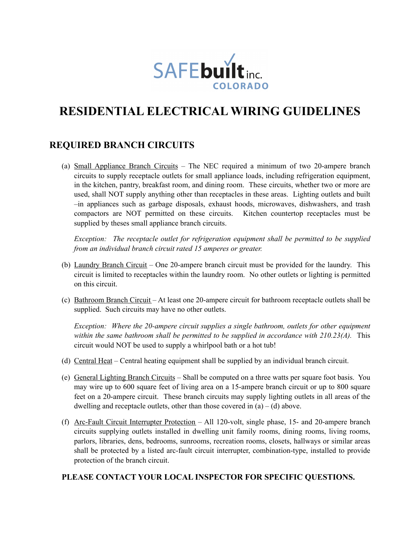

# **RESIDENTIAL ELECTRICAL WIRING GUIDELINES**

### **REQUIRED BRANCH CIRCUITS**

(a) Small Appliance Branch Circuits – The NEC required a minimum of two 20-ampere branch circuits to supply receptacle outlets for small appliance loads, including refrigeration equipment, in the kitchen, pantry, breakfast room, and dining room. These circuits, whether two or more are used, shall NOT supply anything other than receptacles in these areas. Lighting outlets and built –in appliances such as garbage disposals, exhaust hoods, microwaves, dishwashers, and trash compactors are NOT permitted on these circuits. Kitchen countertop receptacles must be supplied by theses small appliance branch circuits.

*Exception: The receptacle outlet for refrigeration equipment shall be permitted to be supplied from an individual branch circuit rated 15 amperes or greater.* 

- (b) Laundry Branch Circuit One 20-ampere branch circuit must be provided for the laundry. This circuit is limited to receptacles within the laundry room. No other outlets or lighting is permitted on this circuit.
- (c) Bathroom Branch Circuit At least one 20-ampere circuit for bathroom receptacle outlets shall be supplied. Such circuits may have no other outlets.

*Exception: Where the 20-ampere circuit supplies a single bathroom, outlets for other equipment within the same bathroom shall be permitted to be supplied in accordance with 210.23(A).* This circuit would NOT be used to supply a whirlpool bath or a hot tub!

- (d) Central Heat Central heating equipment shall be supplied by an individual branch circuit.
- (e) General Lighting Branch Circuits Shall be computed on a three watts per square foot basis. You may wire up to 600 square feet of living area on a 15-ampere branch circuit or up to 800 square feet on a 20-ampere circuit. These branch circuits may supply lighting outlets in all areas of the dwelling and receptacle outlets, other than those covered in  $(a) - (d)$  above.
- (f) Arc-Fault Circuit Interrupter Protection All 120-volt, single phase, 15- and 20-ampere branch circuits supplying outlets installed in dwelling unit family rooms, dining rooms, living rooms, parlors, libraries, dens, bedrooms, sunrooms, recreation rooms, closets, hallways or similar areas shall be protected by a listed arc-fault circuit interrupter, combination-type, installed to provide protection of the branch circuit.

### **PLEASE CONTACT YOUR LOCAL INSPECTOR FOR SPECIFIC QUESTIONS.**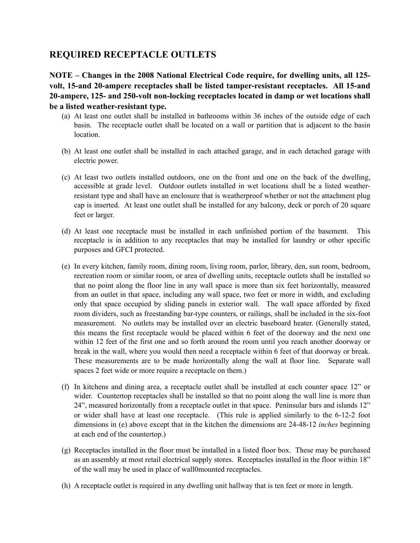### **REQUIRED RECEPTACLE OUTLETS**

**NOTE – Changes in the 2008 National Electrical Code require, for dwelling units, all 125 volt, 15-and 20-ampere receptacles shall be listed tamper-resistant receptacles. All 15-and 20-ampere, 125- and 250-volt non-locking receptacles located in damp or wet locations shall be a listed weather-resistant type.** 

- (a) At least one outlet shall be installed in bathrooms within 36 inches of the outside edge of each basin. The receptacle outlet shall be located on a wall or partition that is adjacent to the basin location.
- (b) At least one outlet shall be installed in each attached garage, and in each detached garage with electric power.
- (c) At least two outlets installed outdoors, one on the front and one on the back of the dwelling, accessible at grade level. Outdoor outlets installed in wet locations shall be a listed weatherresistant type and shall have an enclosure that is weatherproof whether or not the attachment plug cap is inserted. At least one outlet shall be installed for any balcony, deck or porch of 20 square feet or larger.
- (d) At least one receptacle must be installed in each unfinished portion of the basement. This receptacle is in addition to any receptacles that may be installed for laundry or other specific purposes and GFCI protected.
- (e) In every kitchen, family room, dining room, living room, parlor, library, den, sun room, bedroom, recreation room or similar room, or area of dwelling units, receptacle outlets shall be installed so that no point along the floor line in any wall space is more than six feet horizontally, measured from an outlet in that space, including any wall space, two feet or more in width, and excluding only that space occupied by sliding panels in exterior wall. The wall space afforded by fixed room dividers, such as freestanding bar-type counters, or railings, shall be included in the six-foot measurement. No outlets may be installed over an electric baseboard heater. (Generally stated, this means the first receptacle would be placed within 6 feet of the doorway and the next one within 12 feet of the first one and so forth around the room until you reach another doorway or break in the wall, where you would then need a receptacle within 6 feet of that doorway or break. These measurements are to be made horizontally along the wall at floor line. Separate wall spaces 2 feet wide or more require a receptacle on them.)
- (f) In kitchens and dining area, a receptacle outlet shall be installed at each counter space 12" or wider. Countertop receptacles shall be installed so that no point along the wall line is more than 24", measured horizontally from a receptacle outlet in that space. Peninsular bars and islands 12" or wider shall have at least one receptacle. (This rule is applied similarly to the 6-12-2 foot dimensions in (e) above except that in the kitchen the dimensions are 24-48-12 *inches* beginning at each end of the countertop.)
- (g) Receptacles installed in the floor must be installed in a listed floor box. These may be purchased as an assembly at most retail electrical supply stores. Receptacles installed in the floor within 18" of the wall may be used in place of wall0mounted receptacles.
- (h) A receptacle outlet is required in any dwelling unit hallway that is ten feet or more in length.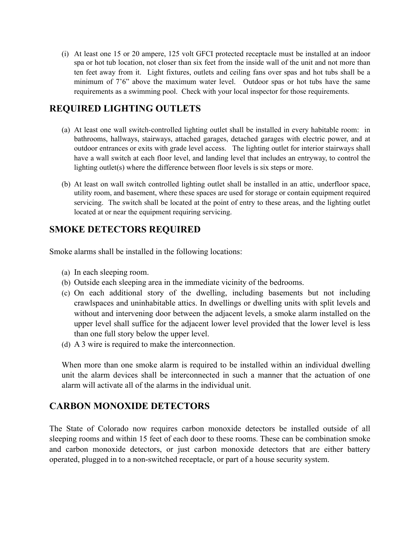(i) At least one 15 or 20 ampere, 125 volt GFCI protected receptacle must be installed at an indoor spa or hot tub location, not closer than six feet from the inside wall of the unit and not more than ten feet away from it. Light fixtures, outlets and ceiling fans over spas and hot tubs shall be a minimum of 7'6" above the maximum water level. Outdoor spas or hot tubs have the same requirements as a swimming pool. Check with your local inspector for those requirements.

### **REQUIRED LIGHTING OUTLETS**

- (a) At least one wall switch-controlled lighting outlet shall be installed in every habitable room: in bathrooms, hallways, stairways, attached garages, detached garages with electric power, and at outdoor entrances or exits with grade level access. The lighting outlet for interior stairways shall have a wall switch at each floor level, and landing level that includes an entryway, to control the lighting outlet(s) where the difference between floor levels is six steps or more.
- (b) At least on wall switch controlled lighting outlet shall be installed in an attic, underfloor space, utility room, and basement, where these spaces are used for storage or contain equipment required servicing. The switch shall be located at the point of entry to these areas, and the lighting outlet located at or near the equipment requiring servicing.

# **SMOKE DETECTORS REQUIRED**

Smoke alarms shall be installed in the following locations:

- (a) In each sleeping room.
- (b) Outside each sleeping area in the immediate vicinity of the bedrooms.
- (c) On each additional story of the dwelling, including basements but not including crawlspaces and uninhabitable attics. In dwellings or dwelling units with split levels and without and intervening door between the adjacent levels, a smoke alarm installed on the upper level shall suffice for the adjacent lower level provided that the lower level is less than one full story below the upper level.
- (d) A 3 wire is required to make the interconnection.

When more than one smoke alarm is required to be installed within an individual dwelling unit the alarm devices shall be interconnected in such a manner that the actuation of one alarm will activate all of the alarms in the individual unit.

# **CARBON MONOXIDE DETECTORS**

The State of Colorado now requires carbon monoxide detectors be installed outside of all sleeping rooms and within 15 feet of each door to these rooms. These can be combination smoke and carbon monoxide detectors, or just carbon monoxide detectors that are either battery operated, plugged in to a non-switched receptacle, or part of a house security system.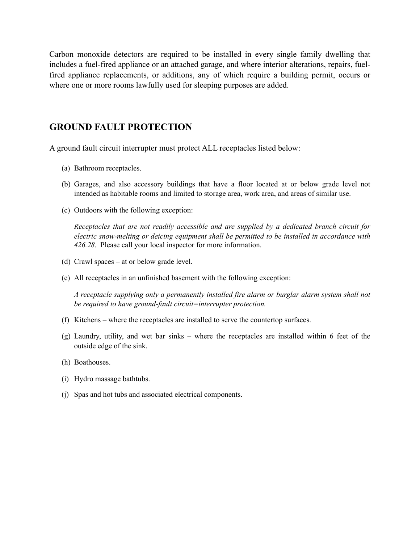Carbon monoxide detectors are required to be installed in every single family dwelling that includes a fuel-fired appliance or an attached garage, and where interior alterations, repairs, fuelfired appliance replacements, or additions, any of which require a building permit, occurs or where one or more rooms lawfully used for sleeping purposes are added.

### **GROUND FAULT PROTECTION**

A ground fault circuit interrupter must protect ALL receptacles listed below:

- (a) Bathroom receptacles.
- (b) Garages, and also accessory buildings that have a floor located at or below grade level not intended as habitable rooms and limited to storage area, work area, and areas of similar use.
- (c) Outdoors with the following exception:

*Receptacles that are not readily accessible and are supplied by a dedicated branch circuit for electric snow-melting or deicing equipment shall be permitted to be installed in accordance with 426.28.* Please call your local inspector for more information.

- (d) Crawl spaces at or below grade level.
- (e) All receptacles in an unfinished basement with the following exception:

*A receptacle supplying only a permanently installed fire alarm or burglar alarm system shall not be required to have ground-fault circuit=interrupter protection.*

- (f) Kitchens where the receptacles are installed to serve the countertop surfaces.
- (g) Laundry, utility, and wet bar sinks where the receptacles are installed within 6 feet of the outside edge of the sink.
- (h) Boathouses.
- (i) Hydro massage bathtubs.
- (j) Spas and hot tubs and associated electrical components.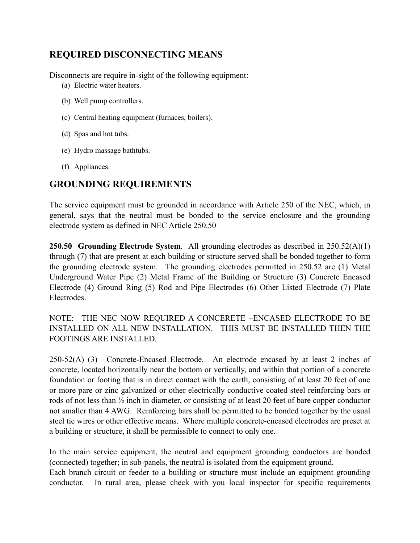# **REQUIRED DISCONNECTING MEANS**

Disconnects are require in-sight of the following equipment:

- (a) Electric water heaters.
- (b) Well pump controllers.
- (c) Central heating equipment (furnaces, boilers).
- (d) Spas and hot tubs.
- (e) Hydro massage bathtubs.
- (f) Appliances.

# **GROUNDING REQUIREMENTS**

The service equipment must be grounded in accordance with Article 250 of the NEC, which, in general, says that the neutral must be bonded to the service enclosure and the grounding electrode system as defined in NEC Article 250.50

**250.50 Grounding Electrode System**. All grounding electrodes as described in 250.52(A)(1) through (7) that are present at each building or structure served shall be bonded together to form the grounding electrode system. The grounding electrodes permitted in 250.52 are (1) Metal Underground Water Pipe (2) Metal Frame of the Building or Structure (3) Concrete Encased Electrode (4) Ground Ring (5) Rod and Pipe Electrodes (6) Other Listed Electrode (7) Plate Electrodes.

NOTE: THE NEC NOW REQUIRED A CONCERETE –ENCASED ELECTRODE TO BE INSTALLED ON ALL NEW INSTALLATION. THIS MUST BE INSTALLED THEN THE FOOTINGS ARE INSTALLED.

250-52(A) (3) Concrete-Encased Electrode. An electrode encased by at least 2 inches of concrete, located horizontally near the bottom or vertically, and within that portion of a concrete foundation or footing that is in direct contact with the earth, consisting of at least 20 feet of one or more pare or zinc galvanized or other electrically conductive coated steel reinforcing bars or rods of not less than ½ inch in diameter, or consisting of at least 20 feet of bare copper conductor not smaller than 4 AWG. Reinforcing bars shall be permitted to be bonded together by the usual steel tie wires or other effective means. Where multiple concrete-encased electrodes are preset at a building or structure, it shall be permissible to connect to only one.

In the main service equipment, the neutral and equipment grounding conductors are bonded (connected) together; in sub-panels, the neutral is isolated from the equipment ground. Each branch circuit or feeder to a building or structure must include an equipment grounding conductor. In rural area, please check with you local inspector for specific requirements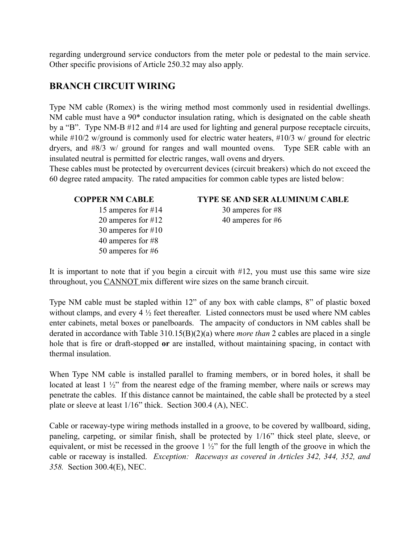regarding underground service conductors from the meter pole or pedestal to the main service. Other specific provisions of Article 250.32 may also apply.

### **BRANCH CIRCUIT WIRING**

Type NM cable (Romex) is the wiring method most commonly used in residential dwellings. NM cable must have a 90\* conductor insulation rating, which is designated on the cable sheath by a "B". Type NM-B #12 and #14 are used for lighting and general purpose receptacle circuits, while #10/2 w/ground is commonly used for electric water heaters, #10/3 w/ ground for electric dryers, and #8/3 w/ ground for ranges and wall mounted ovens. Type SER cable with an insulated neutral is permitted for electric ranges, wall ovens and dryers.

These cables must be protected by overcurrent devices (circuit breakers) which do not exceed the 60 degree rated ampacity. The rated ampacities for common cable types are listed below:

15 amperes for #14 30 amperes for #8 20 amperes for #12 40 amperes for #6 30 amperes for #10 40 amperes for #8 50 amperes for #6

### **COPPER NM CABLE TYPE SE AND SER ALUMINUM CABLE**

It is important to note that if you begin a circuit with #12, you must use this same wire size throughout, you CANNOT mix different wire sizes on the same branch circuit.

Type NM cable must be stapled within 12" of any box with cable clamps, 8" of plastic boxed without clamps, and every 4  $\frac{1}{2}$  feet thereafter. Listed connectors must be used where NM cables enter cabinets, metal boxes or panelboards. The ampacity of conductors in NM cables shall be derated in accordance with Table 310.15(B)(2)(a) where *more than* 2 cables are placed in a single hole that is fire or draft-stopped **or** are installed, without maintaining spacing, in contact with thermal insulation.

When Type NM cable is installed parallel to framing members, or in bored holes, it shall be located at least 1 ½" from the nearest edge of the framing member, where nails or screws may penetrate the cables. If this distance cannot be maintained, the cable shall be protected by a steel plate or sleeve at least 1/16" thick. Section 300.4 (A), NEC.

Cable or raceway-type wiring methods installed in a groove, to be covered by wallboard, siding, paneling, carpeting, or similar finish, shall be protected by 1/16" thick steel plate, sleeve, or equivalent, or mist be recessed in the groove  $1\frac{1}{2}$  for the full length of the groove in which the cable or raceway is installed. *Exception: Raceways as covered in Articles 342, 344, 352, and 358.* Section 300.4(E), NEC.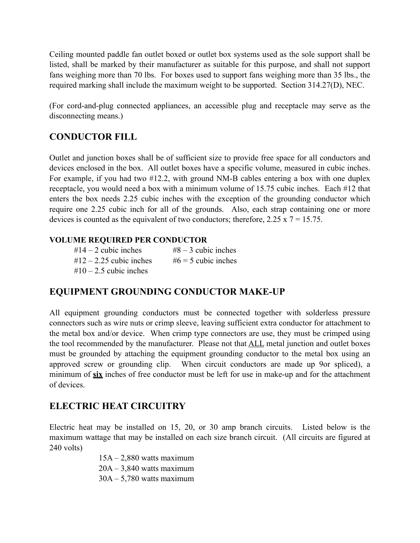Ceiling mounted paddle fan outlet boxed or outlet box systems used as the sole support shall be listed, shall be marked by their manufacturer as suitable for this purpose, and shall not support fans weighing more than 70 lbs. For boxes used to support fans weighing more than 35 lbs., the required marking shall include the maximum weight to be supported. Section 314.27(D), NEC.

(For cord-and-plug connected appliances, an accessible plug and receptacle may serve as the disconnecting means.)

# **CONDUCTOR FILL**

Outlet and junction boxes shall be of sufficient size to provide free space for all conductors and devices enclosed in the box. All outlet boxes have a specific volume, measured in cubic inches. For example, if you had two #12.2, with ground NM-B cables entering a box with one duplex receptacle, you would need a box with a minimum volume of 15.75 cubic inches. Each #12 that enters the box needs 2.25 cubic inches with the exception of the grounding conductor which require one 2.25 cubic inch for all of the grounds. Also, each strap containing one or more devices is counted as the equivalent of two conductors; therefore,  $2.25 \times 7 = 15.75$ .

### **VOLUME REQUIRED PER CONDUCTOR**

 $\#14 - 2$  cubic inches  $\#8 - 3$  cubic inches  $\#12 - 2.25$  cubic inches  $\#6 = 5$  cubic inches  $#10 - 2.5$  cubic inches

### **EQUIPMENT GROUNDING CONDUCTOR MAKE-UP**

All equipment grounding conductors must be connected together with solderless pressure connectors such as wire nuts or crimp sleeve, leaving sufficient extra conductor for attachment to the metal box and/or device. When crimp type connectors are use, they must be crimped using the tool recommended by the manufacturer. Please not that ALL metal junction and outlet boxes must be grounded by attaching the equipment grounding conductor to the metal box using an approved screw or grounding clip. When circuit conductors are made up 9or spliced), a minimum of **six** inches of free conductor must be left for use in make-up and for the attachment of devices.

### **ELECTRIC HEAT CIRCUITRY**

Electric heat may be installed on 15, 20, or 30 amp branch circuits. Listed below is the maximum wattage that may be installed on each size branch circuit. (All circuits are figured at 240 volts)

> $15A - 2,880$  watts maximum  $20A - 3,840$  watts maximum  $30A - 5,780$  watts maximum